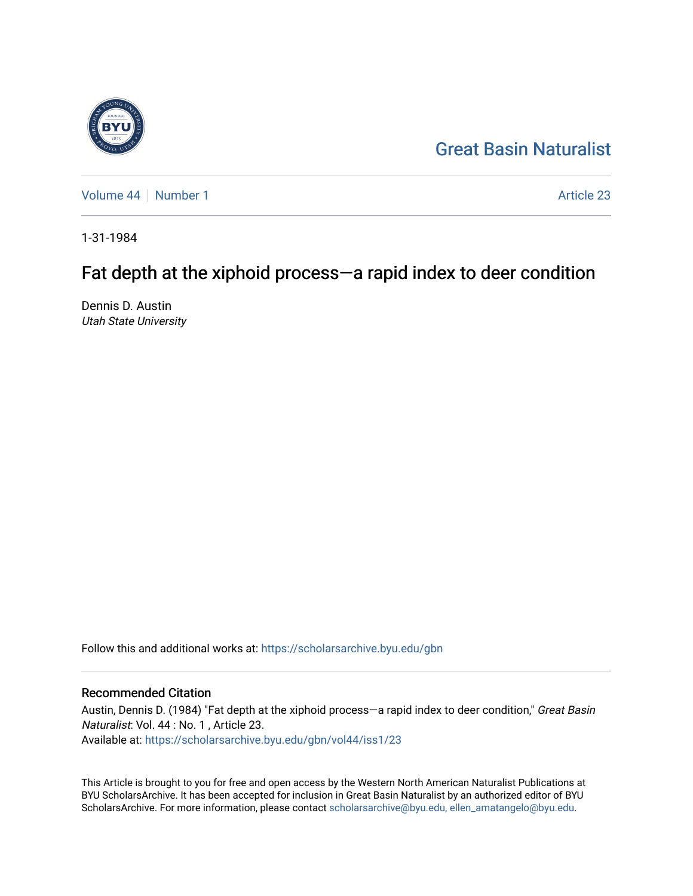

[Volume 44](https://scholarsarchive.byu.edu/gbn/vol44) | [Number 1](https://scholarsarchive.byu.edu/gbn/vol44/iss1) Article 23

1-31-1984

# Fat depth at the xiphoid process—a rapid index to deer condition

Dennis D. Austin Utah State University

Follow this and additional works at: [https://scholarsarchive.byu.edu/gbn](https://scholarsarchive.byu.edu/gbn?utm_source=scholarsarchive.byu.edu%2Fgbn%2Fvol44%2Fiss1%2F23&utm_medium=PDF&utm_campaign=PDFCoverPages) 

# Recommended Citation

Austin, Dennis D. (1984) "Fat depth at the xiphoid process-a rapid index to deer condition," Great Basin Naturalist: Vol. 44 : No. 1 , Article 23. Available at: [https://scholarsarchive.byu.edu/gbn/vol44/iss1/23](https://scholarsarchive.byu.edu/gbn/vol44/iss1/23?utm_source=scholarsarchive.byu.edu%2Fgbn%2Fvol44%2Fiss1%2F23&utm_medium=PDF&utm_campaign=PDFCoverPages) 

This Article is brought to you for free and open access by the Western North American Naturalist Publications at BYU ScholarsArchive. It has been accepted for inclusion in Great Basin Naturalist by an authorized editor of BYU ScholarsArchive. For more information, please contact [scholarsarchive@byu.edu, ellen\\_amatangelo@byu.edu.](mailto:scholarsarchive@byu.edu,%20ellen_amatangelo@byu.edu)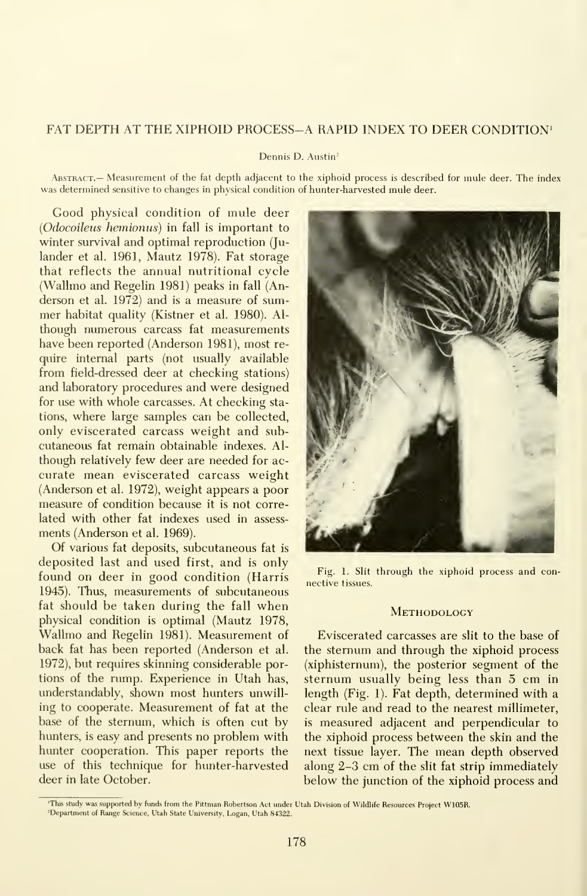# FAT DEPTH AT THE XIPHOID PROCESS-A RAPID INDEX TO DEER CONDITION'

#### Dennis D. Austin<sup>2</sup>

Abstract.— Measurement of the fat depth adjacent to the xiphoid process is described for mule deer. The index was determined sensitive to changes in physical condition of hunter-harvested mule deer.

Good physical condition of mule deer {Odocoileus hemionus) in fall is important to winter survival and optimal reproduction (Ju lander et al. 1961, Mautz 1978). Fat storage that reflects the annual nutritional cycle (Wallmo and Regelin 1981) peaks in fall (Anderson et al. 1972) and is a measure of summer habitat quality (Kistner et al. 1980). Al though numerous carcass fat measurements have been reported (Anderson 1981), most re quire internal parts (not usually available from field-dressed deer at checking stations) and laboratory procedures and were designed for use with whole carcasses. At checking stations, where large samples can be collected, only eviscerated carcass weight and sub cutaneous fat remain obtainable indexes. Al though relatively few deer are needed for ac curate mean eviscerated carcass weight (Anderson et al. 1972), weight appears a poor measure of condition because it is not correlated with other fat indexes used in assess ments (Anderson et al. 1969).

Of various fat deposits, subcutaneous fat is deposited last and used first, and is only found on deer in good condition (Harris 1945). Thus, measurements of subcutaneous fat should be taken during the fall when physical condition is optimal (Mautz 1978, Wallmo and Regelin 1981). Measurement of back fat has been reported (Anderson et al. 1972), but requires skinning considerable portions of the rump. Experience in Utah has, understandably, shown most hunters unwilling to cooperate. Measurement of fat at the base of the sternum, which is often cut by hunters, is easy and presents no problem with hunter cooperation. This paper reports the use of this technique for hunter-harvested deer in late October.



Fig. 1. Slit through the xiphoid process and connective tissues.

#### **METHODOLOGY**

Eviscerated carcasses are slit to the base of the sternum and through the xiphoid process (xiphisternum), the posterior segment of the sternum usually being less than 5 cm in length (Fig. 1). Fat depth, determined with a clear rule and read to the nearest millimeter, is measured adjacent and perpendicular to the xiphoid process between the skin and the next tissue layer. The mean depth observed along 2-3 cm of the slit fat strip immediately below the junction of the xiphoid process and

<sup>&#</sup>x27;This study was supported by funds from the Pittman Robertson Act under Utah Division of Wildhfe Resources Project W105R. ^Department of Range Science, Utah State University, Logan, Utah 84322.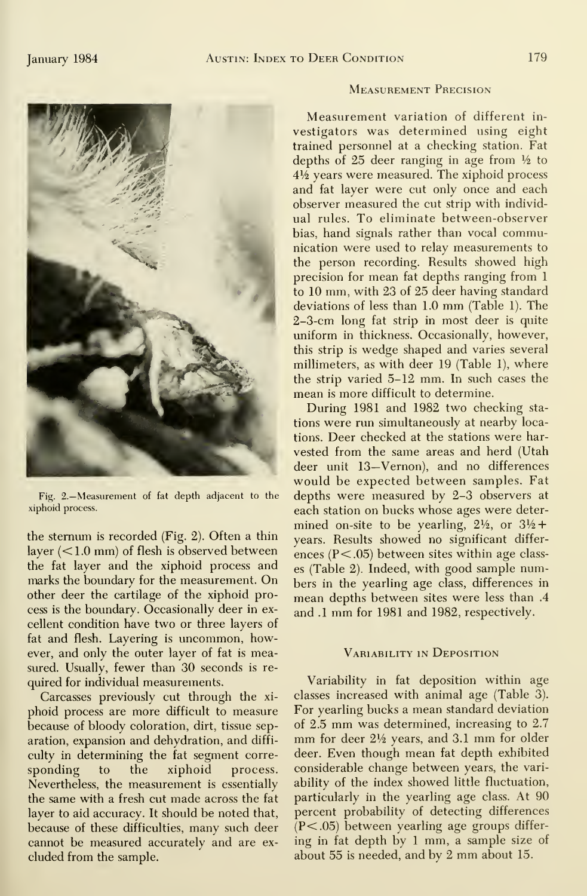

Fig. 2.—Measurement of fat depth adjacent to the xiphoid process.

the sternum is recorded (Fig. 2). Often a thin layer  $(<1.0$  mm) of flesh is observed between the fat layer and the xiphoid process and marks the boundary for the measurement. On other deer the cartilage of the xiphoid process is the boundary. Occasionally deer in excellent condition have two or three layers of fat and flesh. Layering is uncommon, however, and only the outer layer of fat is measured. Usually, fewer than 30 seconds is required for individual measurements.

Carcasses previously cut through the xi phoid process are more difficult to measure because of bloody coloration, dirt, tissue sepculty in determining the fat segment corre sponding to the xiphoid process. Nevertheless, the measurement is essentially the same with a fresh cut made across the fat layer to aid accuracy. It should be noted that, because of these difficulties, many such deer cannot be measured accurately and are ex cluded from the sample.

# Measurement Precision

Measurement variation of different in vestigators was determined using eight trained personnel at a checking station. Fat depths of 25 deer ranging in age from  $\frac{1}{2}$  to  $4\frac{1}{2}$  years were measured. The xiphoid process and fat layer were cut only once and each observer measured the cut strip with individ ual rules. To eliminate between-observer bias, hand signals rather than vocal communication were used to relay measurements to the person recording. Results showed high precision for mean fat depths ranging from <sup>1</sup> to 10 mm, with 23 of 25 deer having standard deviations of less than 1.0 mm (Table 1). The 2-3-cm long fat strip in most deer is quite uniform in thickness. Occasionally, however, this strip is wedge shaped and varies several millimeters, as with deer 19 (Table 1), where the strip varied 5-12 mm. In such cases the mean is more difficult to determine.

During 1981 and 1982 two checking sta tions were run simultaneously at nearby locations. Deer checked at the stations were har vested from the same areas and herd (Utah deer unit 13—Vernon), and no differences would be expected between samples. Fat depths were measured by 2-3 observers at each station on bucks whose ages were deter mined on-site to be yearling,  $2\frac{1}{2}$ , or  $3\frac{1}{2}$ + years. Results showed no significant differ ences  $(P<.05)$  between sites within age classes (Table 2). Indeed, with good sample numbers in the yearling age class, differences in mean depths between sites were less than .4 and .1mm for <sup>1981</sup> and 1982, respectively.

# Variability in Deposition

aration, expansion and dehydration, and diffi- mm for deer  $2\frac{1}{2}$  years, and 3.1 mm for older Variability in fat deposition within age classes increased with animal age (Table 3). For yearling bucks a mean standard deviation of  $2.5$  mm was determined, increasing to  $2.7$ deer. Even though mean fat depth exhibited considerable change between years, the vari ability of the index showed little fluctuation, particularly in the yearling age class. At 90 percent probability of detecting differences (P<.05) between yearling age groups differ ing in fat depth by <sup>1</sup>mm, <sup>a</sup> sample size of about <sup>55</sup> isneeded, and by <sup>2</sup> mm about 15.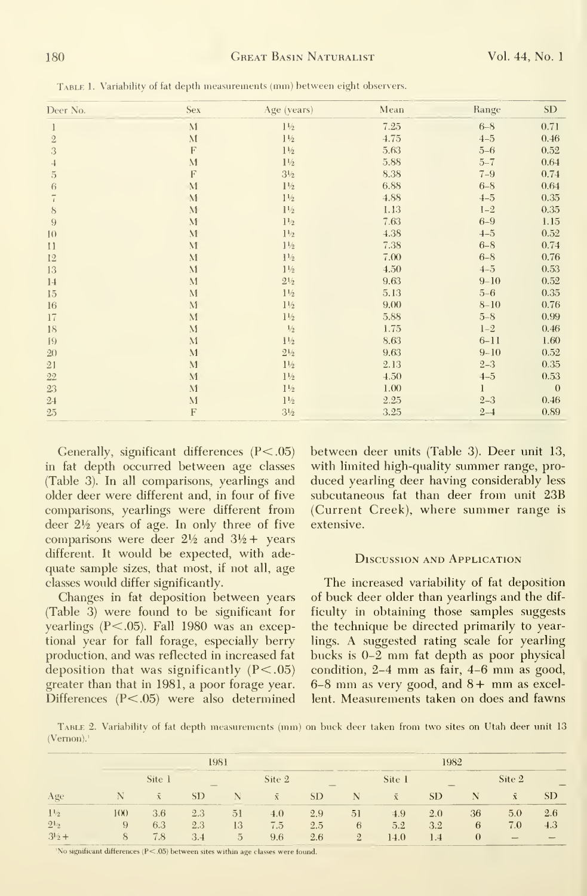| Deer No.       | <b>Sex</b>                  | Age (years)      | Mean | Range    | SD           |
|----------------|-----------------------------|------------------|------|----------|--------------|
| 1              | M                           | $1\frac{1}{2}$   | 7.25 | $6 - 8$  | 0.71         |
| $\sqrt{2}$     | M                           | $1\frac{1}{2}$   | 4.75 | $4 - 5$  | 0.46         |
| 3              | F                           | $1\,\rm{V\!\!2}$ | 5.63 | $5 - 6$  | 0.52         |
| 4              | $\mathbf{M}$                | $1\frac{1}{2}$   | 5.88 | $5 - 7$  | 0.64         |
| $\overline{5}$ | F                           | $3\frac{1}{2}$   | 8.38 | $7 - 9$  | 0.74         |
| 6              | $\mathbf{M}$                | $1\frac{1}{2}$   | 6.88 | $6 - 8$  | 0.64         |
| $\sqrt{2}$     | $\mathbf{M}$                | $1\frac{1}{2}$   | 4.88 | $4 - 5$  | 0.35         |
| $8\,$          | M                           | $1\frac{1}{2}$   | 1.13 | $1 - 2$  | 0.35         |
| 9              | $\mathcal{M}$               | $1\frac{1}{2}$   | 7.63 | $6 - 9$  | 1.15         |
| 10             | $\mathcal{M}_{\mathcal{A}}$ | $1\frac{1}{2}$   | 4.38 | $4 - 5$  | 0.52         |
| $\mathbf{11}$  | $\mathbf{M}$                | $1\frac{1}{2}$   | 7.38 | $6 - 8$  | 0.74         |
| 12             | $\mathbf{M}$                | $1\frac{1}{2}$   | 7.00 | $6 - 8$  | 0.76         |
| 13             | M                           | $1\frac{1}{2}$   | 4.50 | $4 - 5$  | 0.53         |
| 14             | M                           | $2\frac{1}{2}$   | 9.63 | $9 - 10$ | 0.52         |
| 15             | M                           | $1\frac{1}{2}$   | 5.13 | $5 - 6$  | 0.35         |
| $16\,$         | $\mathbf{M}$                | $1\frac{1}{2}$   | 9.00 | $8 - 10$ | 0.76         |
| 17             | M                           | $1\frac{1}{2}$   | 5.88 | $5 - 8$  | 0.99         |
| 18             | $\mathbf{M}$                | $1\!/_{\!2}$     | 1.75 | $1 - 2$  | 0.46         |
| 19             | $\mathbf{M}$                | $1\frac{1}{2}$   | 8.63 | $6 - 11$ | 1.60         |
| 2()            | M                           | $2\frac{1}{2}$   | 9.63 | $9 - 10$ | 0.52         |
| 21             | M                           | $1\frac{1}{2}$   | 2.13 | $2 - 3$  | 0.35         |
| $22\,$         | M                           | $1\frac{1}{2}$   | 4.50 | $4 - 5$  | 0.53         |
| 23             | M                           | $1\frac{1}{2}$   | 1.00 | 1        | $\mathbf{0}$ |
| $24\,$         | M                           | $1\frac{1}{2}$   | 2.25 | $2 - 3$  | 0.46         |
| 25             | $\boldsymbol{\mathrm{F}}$   | $3\frac{1}{2}$   | 3.25 | $2 - 1$  | 0.89         |

Table 1. Variability of fat depth measurements (mm) between eight observers.

Generally, significant differences  $(P<.05)$ in fat depth occurred between age classes (Table 3). In all comparisons, yearlings and older deer were different and, in four of five comparisons, yearlings were different from deer  $2\frac{1}{2}$  years of age. In only three of five comparisons were deer  $2\frac{1}{2}$  and  $3\frac{1}{2}$  years different. It would be expected, with adequate sample sizes, that most, if not all, age classes would differ significantly.

Changes in fat deposition between years (Table 3) were found to be significant for yearlings  $(P<.05)$ . Fall 1980 was an exceptional year for fall forage, especially berry production, and was reflected in increased fat deposition that was significantly  $(P<.05)$ greater than that in 1981, a poor forage year. Differences  $(P<.05)$  were also determined

between deer units (Table 3). Deer unit 13, with limited high-quality summer range, produced yearling deer having considerably less subcutaneous fat than deer from unit 23B (Current Creek), where summer range is extensive.

# **DISCUSSION AND APPLICATION**

The increased variability of fat deposition of buck deer older than yearlings and the difficulty in obtaining those samples suggests the technique be directed primarily to yearlings. A suggested rating scale for yearling bucks is 0-2 mm fat depth as poor physical condition, 2-4 mm as fair, 4-6 mm as good,  $6-8$  mm as very good, and  $8+$  mm as excellent. Measurements taken on does and fawns

TABLE 2. Variability of fat depth measurements (mm) on buck deer taken from two sites on Utah deer unit 13  $(Vernon).<sup>1</sup>$ 

| <b>Contract and Contract and Contract</b> |                                          | the common about the common and control<br>1981<br>the property of the company of the company of |           |    |        |           | _______<br>1982 |           |           |          |                |     |
|-------------------------------------------|------------------------------------------|--------------------------------------------------------------------------------------------------|-----------|----|--------|-----------|-----------------|-----------|-----------|----------|----------------|-----|
|                                           |                                          | Site 1                                                                                           |           |    | Site 2 |           |                 | Site 1    |           |          | Site 2         |     |
| Age                                       |                                          |                                                                                                  | <b>SD</b> |    | Ñ.     | <b>SD</b> |                 | $\bar{X}$ | <b>SD</b> |          | $\overline{x}$ | SD. |
| $1\frac{1}{2}$                            | --------<br>$\mathfrak{f}(\mathfrak{X})$ | 3.6                                                                                              | 2.3       | 51 | 4.0    | 2.9       | 51              | 4.9       | 2.0       | 36       | ----<br>5.0    | 2.6 |
| $2^{1/2}$                                 | 9                                        | 6.3                                                                                              | 2.3       | 13 | 7.5    | 2.5       | 6               | 5.2       | 3.2       | 6        | 7.0            | 4.3 |
| $3^{1}2 +$                                |                                          | 7.8                                                                                              | 3.4       | 5. | 9.6    | 2.6       | $\Omega$        | 14.0      | 1.4       | $\theta$ |                |     |

'No significant differences  $(P < .05)$  between sites within age classes were found.